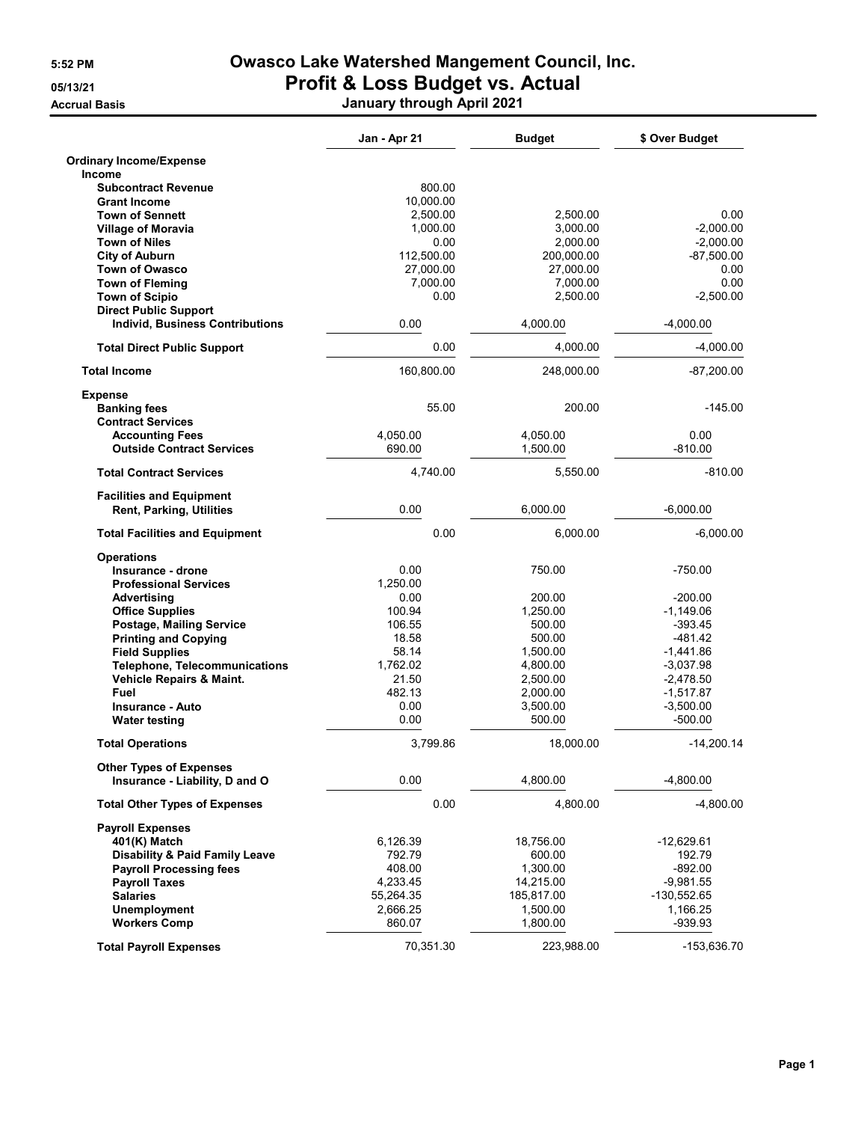## 5:52 PM Owasco Lake Watershed Mangement Council, Inc. 05/13/21 **Profit & Loss Budget vs. Actual**

Accrual Basis January through April 2021

|                                                                    | Jan - Apr 21 | <b>Budget</b> | \$ Over Budget |
|--------------------------------------------------------------------|--------------|---------------|----------------|
| <b>Ordinary Income/Expense</b>                                     |              |               |                |
| Income                                                             |              |               |                |
| <b>Subcontract Revenue</b>                                         | 800.00       |               |                |
| <b>Grant Income</b>                                                | 10,000.00    |               |                |
| <b>Town of Sennett</b>                                             | 2,500.00     | 2,500.00      | 0.00           |
| <b>Village of Moravia</b>                                          | 1.000.00     | 3,000.00      | $-2.000.00$    |
| <b>Town of Niles</b>                                               | 0.00         | 2,000.00      | $-2,000.00$    |
| <b>City of Auburn</b>                                              | 112,500.00   | 200,000.00    | $-87,500.00$   |
| <b>Town of Owasco</b>                                              | 27,000.00    | 27,000.00     | 0.00           |
| <b>Town of Fleming</b>                                             | 7,000.00     | 7,000.00      | 0.00           |
| <b>Town of Scipio</b>                                              | 0.00         | 2,500.00      | $-2,500.00$    |
| <b>Direct Public Support</b>                                       |              |               |                |
| <b>Individ, Business Contributions</b>                             | 0.00         | 4,000.00      | $-4,000.00$    |
| <b>Total Direct Public Support</b>                                 | 0.00         | 4,000.00      | $-4,000.00$    |
| <b>Total Income</b>                                                | 160,800.00   | 248,000.00    | $-87,200.00$   |
| <b>Expense</b>                                                     |              |               |                |
| <b>Banking fees</b><br><b>Contract Services</b>                    | 55.00        | 200.00        | $-145.00$      |
| <b>Accounting Fees</b>                                             | 4,050.00     | 4,050.00      | 0.00           |
| <b>Outside Contract Services</b>                                   | 690.00       | 1,500.00      | $-810.00$      |
| <b>Total Contract Services</b>                                     | 4,740.00     | 5,550.00      | $-810.00$      |
| <b>Facilities and Equipment</b><br><b>Rent, Parking, Utilities</b> | 0.00         | 6,000.00      | $-6,000.00$    |
| <b>Total Facilities and Equipment</b>                              | 0.00         | 6,000.00      | $-6,000.00$    |
| <b>Operations</b>                                                  |              |               |                |
| Insurance - drone                                                  | 0.00         | 750.00        | $-750.00$      |
| <b>Professional Services</b>                                       | 1,250.00     |               |                |
| Advertising                                                        | 0.00         | 200.00        | $-200.00$      |
| <b>Office Supplies</b>                                             | 100.94       | 1,250.00      | $-1,149.06$    |
|                                                                    | 106.55       | 500.00        | $-393.45$      |
| Postage, Mailing Service                                           |              |               | $-481.42$      |
| <b>Printing and Copying</b>                                        | 18.58        | 500.00        |                |
| <b>Field Supplies</b>                                              | 58.14        | 1,500.00      | $-1,441.86$    |
| <b>Telephone, Telecommunications</b>                               | 1,762.02     | 4,800.00      | $-3,037.98$    |
| Vehicle Repairs & Maint.                                           | 21.50        | 2,500.00      | $-2,478.50$    |
| Fuel                                                               | 482.13       | 2,000.00      | $-1,517.87$    |
| <b>Insurance - Auto</b>                                            | 0.00         | 3,500.00      | $-3,500.00$    |
| <b>Water testing</b>                                               | 0.00         | 500.00        | $-500.00$      |
| <b>Total Operations</b>                                            | 3,799.86     | 18,000.00     | -14,200.14     |
| <b>Other Types of Expenses</b><br>Insurance - Liability, D and O   | 0.00         | 4,800.00      | $-4,800.00$    |
|                                                                    |              | 4,800.00      |                |
| <b>Total Other Types of Expenses</b>                               | 0.00         |               | $-4,800.00$    |
| <b>Payroll Expenses</b>                                            |              |               |                |
| 401(K) Match                                                       | 6,126.39     | 18,756.00     | -12,629.61     |
| <b>Disability &amp; Paid Family Leave</b>                          | 792.79       | 600.00        | 192.79         |
| <b>Payroll Processing fees</b>                                     | 408.00       | 1,300.00      | $-892.00$      |
| <b>Payroll Taxes</b>                                               | 4,233.45     | 14,215.00     | $-9,981.55$    |
| <b>Salaries</b>                                                    | 55,264.35    | 185,817.00    | $-130,552.65$  |
| <b>Unemployment</b>                                                | 2,666.25     | 1,500.00      | 1,166.25       |
| <b>Workers Comp</b>                                                | 860.07       | 1,800.00      | -939.93        |
| <b>Total Payroll Expenses</b>                                      | 70,351.30    | 223,988.00    | -153,636.70    |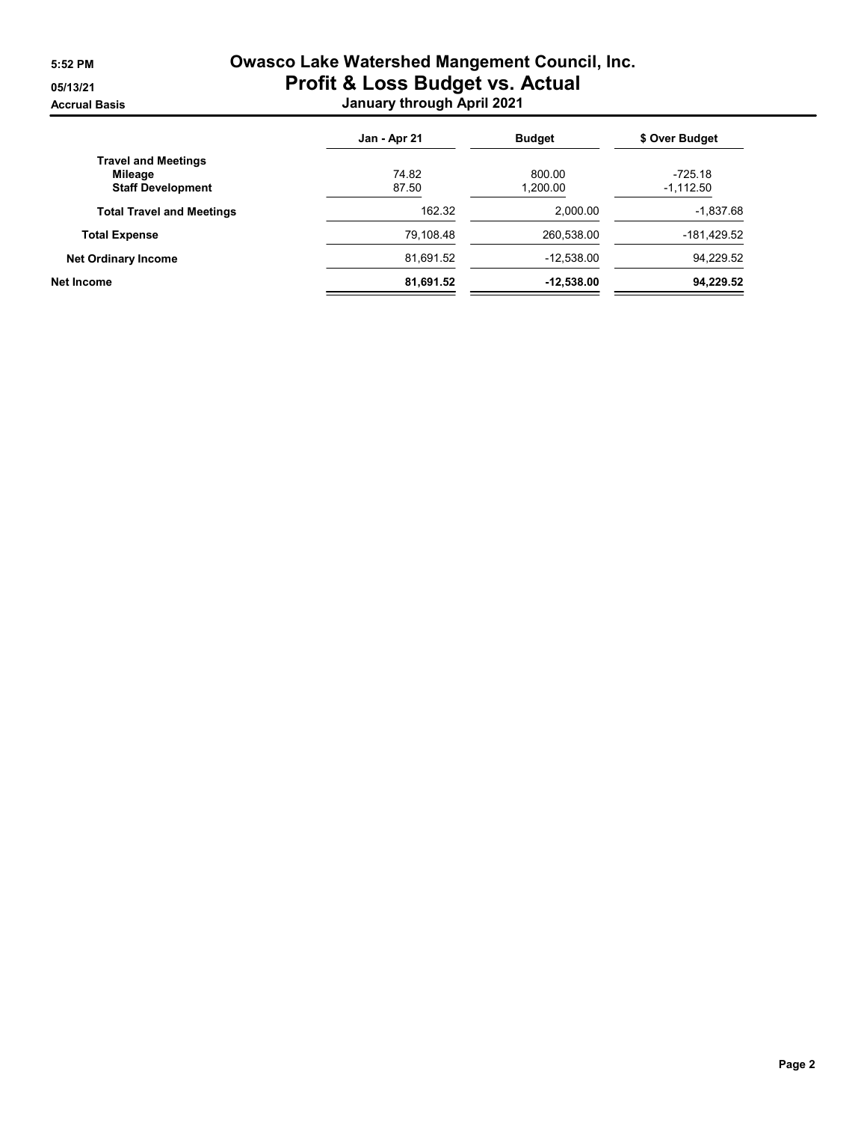## 5:52 PM Owasco Lake Watershed Mangement Council, Inc. 05/13/21 **Profit & Loss Budget vs. Actual** Accrual Basis January through April 2021

|                                  | Jan - Apr 21 | <b>Budget</b> | \$ Over Budget |
|----------------------------------|--------------|---------------|----------------|
| <b>Travel and Meetings</b>       |              |               |                |
| Mileage                          | 74.82        | 800.00        | -725.18        |
| <b>Staff Development</b>         | 87.50        | 1,200.00      | $-1,112.50$    |
| <b>Total Travel and Meetings</b> | 162.32       | 2.000.00      | $-1,837.68$    |
| <b>Total Expense</b>             | 79,108.48    | 260,538.00    | -181,429.52    |
| <b>Net Ordinary Income</b>       | 81,691.52    | $-12,538.00$  | 94,229.52      |
| <b>Net Income</b>                | 81,691.52    | $-12,538.00$  | 94,229.52      |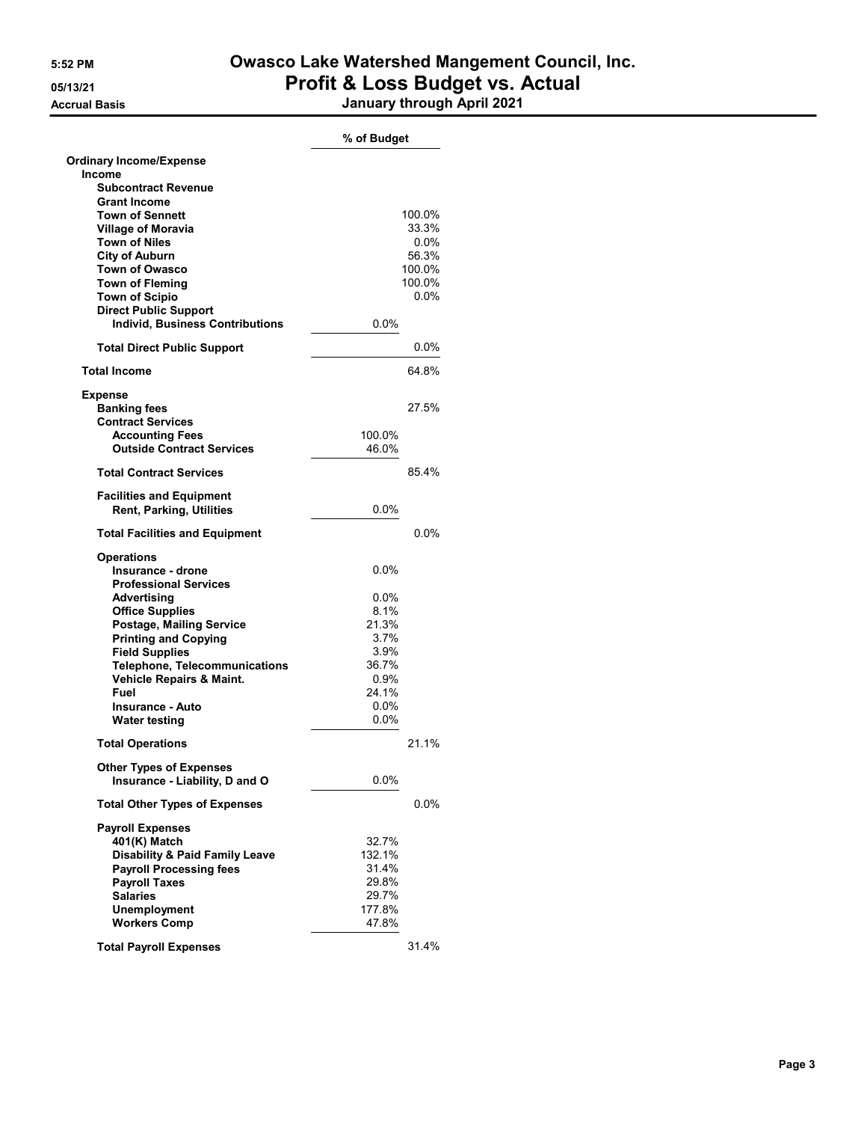## 5:52 PM Owasco Lake Watershed Mangement Council, Inc. 05/13/21 **Profit & Loss Budget vs. Actual** Accrual Basis January through April 2021

|                                                                    | % of Budget        |         |
|--------------------------------------------------------------------|--------------------|---------|
| <b>Ordinary Income/Expense</b>                                     |                    |         |
| Income                                                             |                    |         |
| <b>Subcontract Revenue</b><br><b>Grant Income</b>                  |                    |         |
| <b>Town of Sennett</b>                                             |                    | 100.0%  |
| <b>Village of Moravia</b>                                          |                    | 33.3%   |
| <b>Town of Niles</b>                                               |                    | $0.0\%$ |
| <b>City of Auburn</b>                                              |                    | 56.3%   |
| <b>Town of Owasco</b>                                              |                    | 100.0%  |
| <b>Town of Fleming</b>                                             |                    | 100.0%  |
| <b>Town of Scipio</b>                                              |                    | $0.0\%$ |
| <b>Direct Public Support</b>                                       |                    |         |
| <b>Individ, Business Contributions</b>                             | 0.0%               |         |
| <b>Total Direct Public Support</b>                                 |                    | $0.0\%$ |
| <b>Total Income</b>                                                |                    | 64.8%   |
| Expense                                                            |                    |         |
| <b>Banking fees</b>                                                |                    | 27.5%   |
| <b>Contract Services</b>                                           |                    |         |
| <b>Accounting Fees</b>                                             | 100.0%             |         |
| <b>Outside Contract Services</b>                                   | 46.0%              |         |
| <b>Total Contract Services</b>                                     |                    | 85.4%   |
| <b>Facilities and Equipment</b><br><b>Rent, Parking, Utilities</b> | $0.0\%$            |         |
| <b>Total Facilities and Equipment</b>                              |                    | $0.0\%$ |
| <b>Operations</b>                                                  |                    |         |
| Insurance - drone                                                  | 0.0%               |         |
| <b>Professional Services</b>                                       |                    |         |
| Advertising                                                        | $0.0\%$            |         |
| <b>Office Supplies</b>                                             | 8.1%               |         |
| Postage, Mailing Service                                           | 21.3%              |         |
| <b>Printing and Copying</b>                                        | 3.7%               |         |
| <b>Field Supplies</b>                                              | 3.9%               |         |
| <b>Telephone, Telecommunications</b>                               | 36.7%              |         |
| Vehicle Repairs & Maint.                                           | 0.9%               |         |
| Fuel                                                               | 24.1%              |         |
| <b>Insurance - Auto</b>                                            | $0.0\%$<br>$0.0\%$ |         |
| Water testing                                                      |                    |         |
| <b>Total Operations</b>                                            |                    | 21 1%   |
| <b>Other Types of Expenses</b><br>Insurance - Liability, D and O   | $0.0\%$            |         |
| <b>Total Other Types of Expenses</b>                               |                    | $0.0\%$ |
|                                                                    |                    |         |
| <b>Payroll Expenses</b><br>401(K) Match                            | 32.7%              |         |
| <b>Disability &amp; Paid Family Leave</b>                          | 132.1%             |         |
| <b>Payroll Processing fees</b>                                     | 31.4%              |         |
| <b>Payroll Taxes</b>                                               | 29.8%              |         |
| <b>Salaries</b>                                                    | 29.7%              |         |
| <b>Unemployment</b>                                                | 177.8%             |         |
| <b>Workers Comp</b>                                                | 47.8%              |         |
|                                                                    |                    |         |
| <b>Total Payroll Expenses</b>                                      |                    | 31.4%   |